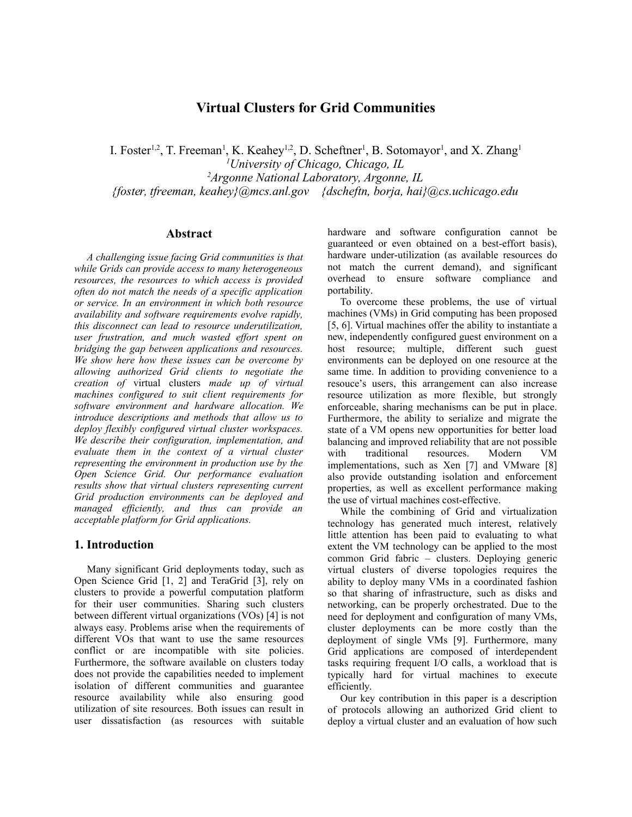# **Virtual Clusters for Grid Communities**

I. Foster<sup>1,2</sup>, T. Freeman<sup>1</sup>, K. Keahey<sup>1,2</sup>, D. Scheftner<sup>1</sup>, B. Sotomayor<sup>1</sup>, and X. Zhang<sup>1</sup> *<sup>1</sup>University of Chicago, Chicago, IL <sup>2</sup>Argonne National Laboratory, Argonne, IL {foster, tfreeman, keahey}@mcs.anl.gov {dscheftn, borja, hai}@cs.uchicago.edu*

## **Abstract**

*A challenging issue facing Grid communities is that while Grids can provide access to many heterogeneous resources, the resources to which access is provided often do not match the needs of a specific application or service. In an environment in which both resource availability and software requirements evolve rapidly, this disconnect can lead to resource underutilization, user frustration, and much wasted effort spent on bridging the gap between applications and resources. We show here how these issues can be overcome by allowing authorized Grid clients to negotiate the creation of* virtual clusters *made up of virtual machines configured to suit client requirements for software environment and hardware allocation. We introduce descriptions and methods that allow us to deploy flexibly configured virtual cluster workspaces. We describe their configuration, implementation, and evaluate them in the context of a virtual cluster representing the environment in production use by the Open Science Grid. Our performance evaluation results show that virtual clusters representing current Grid production environments can be deployed and managed efficiently, and thus can provide an acceptable platform for Grid applications.*

#### **1. Introduction**

Many significant Grid deployments today, such as Open Science Grid [1, 2] and TeraGrid [3], rely on clusters to provide a powerful computation platform for their user communities. Sharing such clusters between different virtual organizations (VOs) [4] is not always easy. Problems arise when the requirements of different VOs that want to use the same resources conflict or are incompatible with site policies. Furthermore, the software available on clusters today does not provide the capabilities needed to implement isolation of different communities and guarantee resource availability while also ensuring good utilization of site resources. Both issues can result in user dissatisfaction (as resources with suitable

hardware and software configuration cannot be guaranteed or even obtained on a best-effort basis), hardware under-utilization (as available resources do not match the current demand), and significant overhead to ensure software compliance and portability.

To overcome these problems, the use of virtual machines (VMs) in Grid computing has been proposed [5, 6]. Virtual machines offer the ability to instantiate a new, independently configured guest environment on a host resource; multiple, different such guest environments can be deployed on one resource at the same time. In addition to providing convenience to a resouce's users, this arrangement can also increase resource utilization as more flexible, but strongly enforceable, sharing mechanisms can be put in place. Furthermore, the ability to serialize and migrate the state of a VM opens new opportunities for better load balancing and improved reliability that are not possible with traditional resources. Modern VM implementations, such as Xen [7] and VMware [8] also provide outstanding isolation and enforcement properties, as well as excellent performance making the use of virtual machines cost-effective.

While the combining of Grid and virtualization technology has generated much interest, relatively little attention has been paid to evaluating to what extent the VM technology can be applied to the most common Grid fabric – clusters. Deploying generic virtual clusters of diverse topologies requires the ability to deploy many VMs in a coordinated fashion so that sharing of infrastructure, such as disks and networking, can be properly orchestrated. Due to the need for deployment and configuration of many VMs, cluster deployments can be more costly than the deployment of single VMs [9]. Furthermore, many Grid applications are composed of interdependent tasks requiring frequent I/O calls, a workload that is typically hard for virtual machines to execute efficiently.

Our key contribution in this paper is a description of protocols allowing an authorized Grid client to deploy a virtual cluster and an evaluation of how such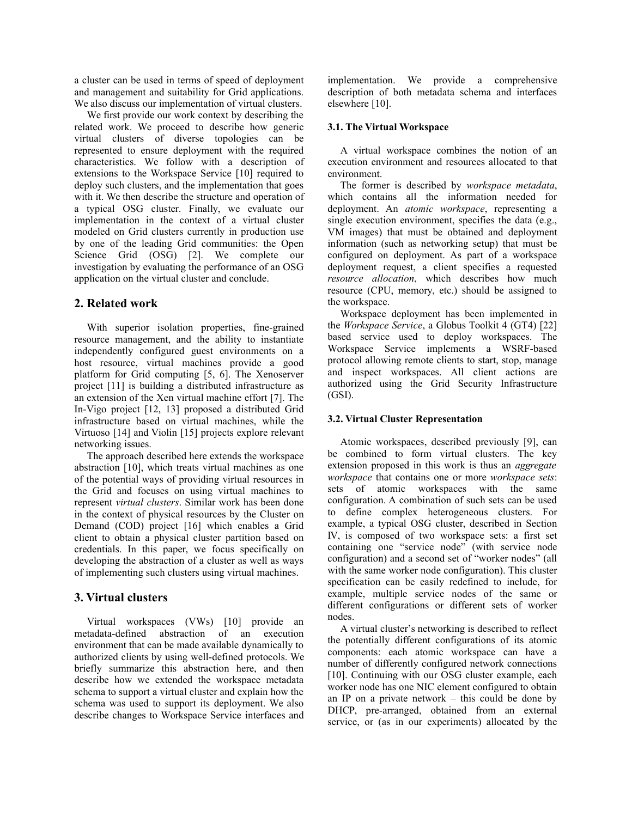a cluster can be used in terms of speed of deployment and management and suitability for Grid applications. We also discuss our implementation of virtual clusters.

We first provide our work context by describing the related work. We proceed to describe how generic virtual clusters of diverse topologies can be represented to ensure deployment with the required characteristics. We follow with a description of extensions to the Workspace Service [10] required to deploy such clusters, and the implementation that goes with it. We then describe the structure and operation of a typical OSG cluster. Finally, we evaluate our implementation in the context of a virtual cluster modeled on Grid clusters currently in production use by one of the leading Grid communities: the Open Science Grid (OSG) [2]. We complete our investigation by evaluating the performance of an OSG application on the virtual cluster and conclude.

## **2. Related work**

With superior isolation properties, fine-grained resource management, and the ability to instantiate independently configured guest environments on a host resource, virtual machines provide a good platform for Grid computing [5, 6]. The Xenoserver project [11] is building a distributed infrastructure as an extension of the Xen virtual machine effort [7]. The In-Vigo project [12, 13] proposed a distributed Grid infrastructure based on virtual machines, while the Virtuoso [14] and Violin [15] projects explore relevant networking issues.

The approach described here extends the workspace abstraction [10], which treats virtual machines as one of the potential ways of providing virtual resources in the Grid and focuses on using virtual machines to represent *virtual clusters*. Similar work has been done in the context of physical resources by the Cluster on Demand (COD) project [16] which enables a Grid client to obtain a physical cluster partition based on credentials. In this paper, we focus specifically on developing the abstraction of a cluster as well as ways of implementing such clusters using virtual machines.

## **3. Virtual clusters**

Virtual workspaces (VWs) [10] provide an metadata-defined abstraction of an execution environment that can be made available dynamically to authorized clients by using well-defined protocols. We briefly summarize this abstraction here, and then describe how we extended the workspace metadata schema to support a virtual cluster and explain how the schema was used to support its deployment. We also describe changes to Workspace Service interfaces and

implementation. We provide a comprehensive description of both metadata schema and interfaces elsewhere [10].

### **3.1. The Virtual Workspace**

A virtual workspace combines the notion of an execution environment and resources allocated to that environment.

The former is described by *workspace metadata*, which contains all the information needed for deployment. An *atomic workspace*, representing a single execution environment, specifies the data (e.g., VM images) that must be obtained and deployment information (such as networking setup) that must be configured on deployment. As part of a workspace deployment request, a client specifies a requested *resource allocation*, which describes how much resource (CPU, memory, etc.) should be assigned to the workspace.

Workspace deployment has been implemented in the *Workspace Service*, a Globus Toolkit 4 (GT4) [22] based service used to deploy workspaces. The Workspace Service implements a WSRF-based protocol allowing remote clients to start, stop, manage and inspect workspaces. All client actions are authorized using the Grid Security Infrastructure (GSI).

#### **3.2. Virtual Cluster Representation**

Atomic workspaces, described previously [9], can be combined to form virtual clusters. The key extension proposed in this work is thus an *aggregate workspace* that contains one or more *workspace sets*: sets of atomic workspaces with the same configuration. A combination of such sets can be used to define complex heterogeneous clusters. For example, a typical OSG cluster, described in Section IV, is composed of two workspace sets: a first set containing one "service node" (with service node configuration) and a second set of "worker nodes" (all with the same worker node configuration). This cluster specification can be easily redefined to include, for example, multiple service nodes of the same or different configurations or different sets of worker nodes.

A virtual cluster's networking is described to reflect the potentially different configurations of its atomic components: each atomic workspace can have a number of differently configured network connections [10]. Continuing with our OSG cluster example, each worker node has one NIC element configured to obtain an IP on a private network – this could be done by DHCP, pre-arranged, obtained from an external service, or (as in our experiments) allocated by the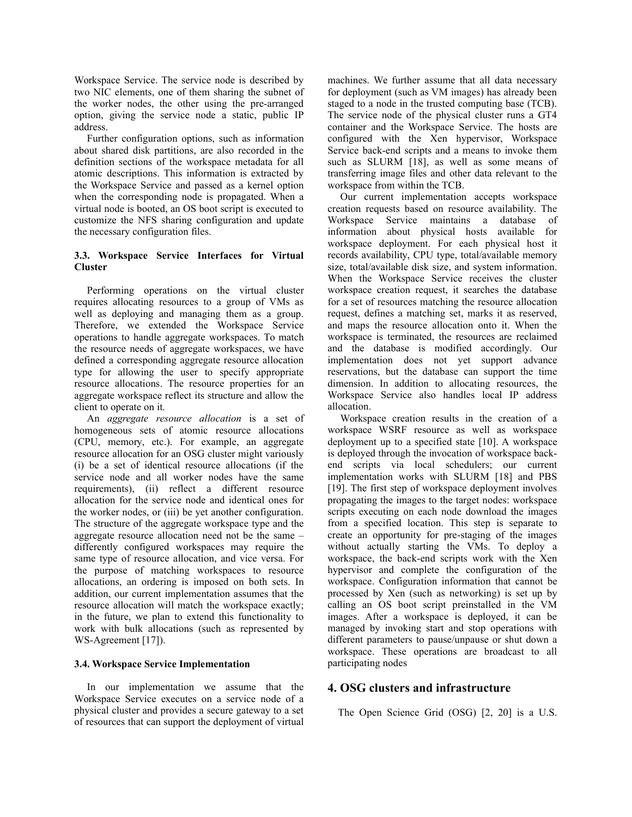Workspace Service. The service node is described by two NIC elements, one of them sharing the subnet of the worker nodes, the other using the pre-arranged option, giving the service node a static, public IP address.

Further configuration options, such as information about shared disk partitions, are also recorded in the definition sections of the workspace metadata for all atomic descriptions. This information is extracted by the Workspace Service and passed as a kernel option when the corresponding node is propagated. When a virtual node is booted, an OS boot script is executed to customize the NFS sharing configuration and update the necessary configuration files.

## **3.3. Workspace Service Interfaces for Virtual Cluster**

Performing operations on the virtual cluster requires allocating resources to a group of VMs as well as deploying and managing them as a group. Therefore, we extended the Workspace Service operations to handle aggregate workspaces. To match the resource needs of aggregate workspaces, we have defined a corresponding aggregate resource allocation type for allowing the user to specify appropriate resource allocations. The resource properties for an aggregate workspace reflect its structure and allow the client to operate on it.

An *aggregate resource allocation* is a set of homogeneous sets of atomic resource allocations (CPU, memory, etc.). For example, an aggregate resource allocation for an OSG cluster might variously (i) be a set of identical resource allocations (if the service node and all worker nodes have the same requirements), (ii) reflect a different resource allocation for the service node and identical ones for the worker nodes, or (iii) be yet another configuration. The structure of the aggregate workspace type and the aggregate resource allocation need not be the same – differently configured workspaces may require the same type of resource allocation, and vice versa. For the purpose of matching workspaces to resource allocations, an ordering is imposed on both sets. In addition, our current implementation assumes that the resource allocation will match the workspace exactly; in the future, we plan to extend this functionality to work with bulk allocations (such as represented by WS-Agreement [17]).

## **3.4. Workspace Service Implementation**

In our implementation we assume that the Workspace Service executes on a service node of a physical cluster and provides a secure gateway to a set of resources that can support the deployment of virtual machines. We further assume that all data necessary for deployment (such as VM images) has already been staged to a node in the trusted computing base (TCB). The service node of the physical cluster runs a GT4 container and the Workspace Service. The hosts are configured with the Xen hypervisor, Workspace Service back-end scripts and a means to invoke them such as SLURM [18], as well as some means of transferring image files and other data relevant to the workspace from within the TCB.

Our current implementation accepts workspace creation requests based on resource availability. The Workspace Service maintains a database of information about physical hosts available for workspace deployment. For each physical host it records availability, CPU type, total/available memory size, total/available disk size, and system information. When the Workspace Service receives the cluster workspace creation request, it searches the database for a set of resources matching the resource allocation request, defines a matching set, marks it as reserved, and maps the resource allocation onto it. When the workspace is terminated, the resources are reclaimed and the database is modified accordingly. Our implementation does not yet support advance reservations, but the database can support the time dimension. In addition to allocating resources, the Workspace Service also handles local IP address allocation.

Workspace creation results in the creation of a workspace WSRF resource as well as workspace deployment up to a specified state [10]. A workspace is deployed through the invocation of workspace backend scripts via local schedulers; our current implementation works with SLURM [18] and PBS [19]. The first step of workspace deployment involves propagating the images to the target nodes: workspace scripts executing on each node download the images from a specified location. This step is separate to create an opportunity for pre-staging of the images without actually starting the VMs. To deploy a workspace, the back-end scripts work with the Xen hypervisor and complete the configuration of the workspace. Configuration information that cannot be processed by Xen (such as networking) is set up by calling an OS boot script preinstalled in the VM images. After a workspace is deployed, it can be managed by invoking start and stop operations with different parameters to pause/unpause or shut down a workspace. These operations are broadcast to all participating nodes

## **4. OSG clusters and infrastructure**

The Open Science Grid (OSG) [2, 20] is a U.S.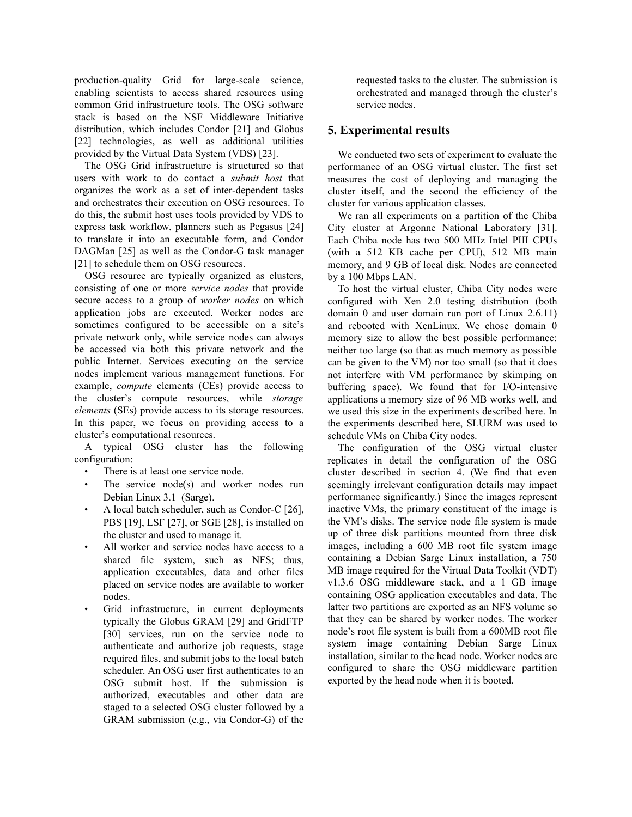production-quality Grid for large-scale science, enabling scientists to access shared resources using common Grid infrastructure tools. The OSG software stack is based on the NSF Middleware Initiative distribution, which includes Condor [21] and Globus [22] technologies, as well as additional utilities provided by the Virtual Data System (VDS) [23].

The OSG Grid infrastructure is structured so that users with work to do contact a *submit host* that organizes the work as a set of inter-dependent tasks and orchestrates their execution on OSG resources. To do this, the submit host uses tools provided by VDS to express task workflow, planners such as Pegasus [24] to translate it into an executable form, and Condor DAGMan [25] as well as the Condor-G task manager [21] to schedule them on OSG resources.

OSG resource are typically organized as clusters, consisting of one or more *service nodes* that provide secure access to a group of *worker nodes* on which application jobs are executed. Worker nodes are sometimes configured to be accessible on a site's private network only, while service nodes can always be accessed via both this private network and the public Internet. Services executing on the service nodes implement various management functions. For example, *compute* elements (CEs) provide access to the cluster's compute resources, while *storage elements* (SEs) provide access to its storage resources. In this paper, we focus on providing access to a cluster's computational resources.

A typical OSG cluster has the following configuration:

- There is at least one service node.
- The service node(s) and worker nodes run Debian Linux 3.1 (Sarge).
- A local batch scheduler, such as Condor-C [26], PBS [19], LSF [27], or SGE [28], is installed on the cluster and used to manage it.
- All worker and service nodes have access to a shared file system, such as NFS; thus, application executables, data and other files placed on service nodes are available to worker nodes.
- Grid infrastructure, in current deployments typically the Globus GRAM [29] and GridFTP [30] services, run on the service node to authenticate and authorize job requests, stage required files, and submit jobs to the local batch scheduler. An OSG user first authenticates to an OSG submit host. If the submission is authorized, executables and other data are staged to a selected OSG cluster followed by a GRAM submission (e.g., via Condor-G) of the

requested tasks to the cluster. The submission is orchestrated and managed through the cluster's service nodes.

## **5. Experimental results**

We conducted two sets of experiment to evaluate the performance of an OSG virtual cluster. The first set measures the cost of deploying and managing the cluster itself, and the second the efficiency of the cluster for various application classes.

We ran all experiments on a partition of the Chiba City cluster at Argonne National Laboratory [31]. Each Chiba node has two 500 MHz Intel PIII CPUs (with a 512 KB cache per CPU), 512 MB main memory, and 9 GB of local disk. Nodes are connected by a 100 Mbps LAN.

To host the virtual cluster, Chiba City nodes were configured with Xen 2.0 testing distribution (both domain 0 and user domain run port of Linux 2.6.11) and rebooted with XenLinux. We chose domain 0 memory size to allow the best possible performance: neither too large (so that as much memory as possible can be given to the VM) nor too small (so that it does not interfere with VM performance by skimping on buffering space). We found that for I/O-intensive applications a memory size of 96 MB works well, and we used this size in the experiments described here. In the experiments described here, SLURM was used to schedule VMs on Chiba City nodes.

The configuration of the OSG virtual cluster replicates in detail the configuration of the OSG cluster described in section 4. (We find that even seemingly irrelevant configuration details may impact performance significantly.) Since the images represent inactive VMs, the primary constituent of the image is the VM's disks. The service node file system is made up of three disk partitions mounted from three disk images, including a 600 MB root file system image containing a Debian Sarge Linux installation, a 750 MB image required for the Virtual Data Toolkit (VDT) v1.3.6 OSG middleware stack, and a 1 GB image containing OSG application executables and data. The latter two partitions are exported as an NFS volume so that they can be shared by worker nodes. The worker node's root file system is built from a 600MB root file system image containing Debian Sarge Linux installation, similar to the head node. Worker nodes are configured to share the OSG middleware partition exported by the head node when it is booted.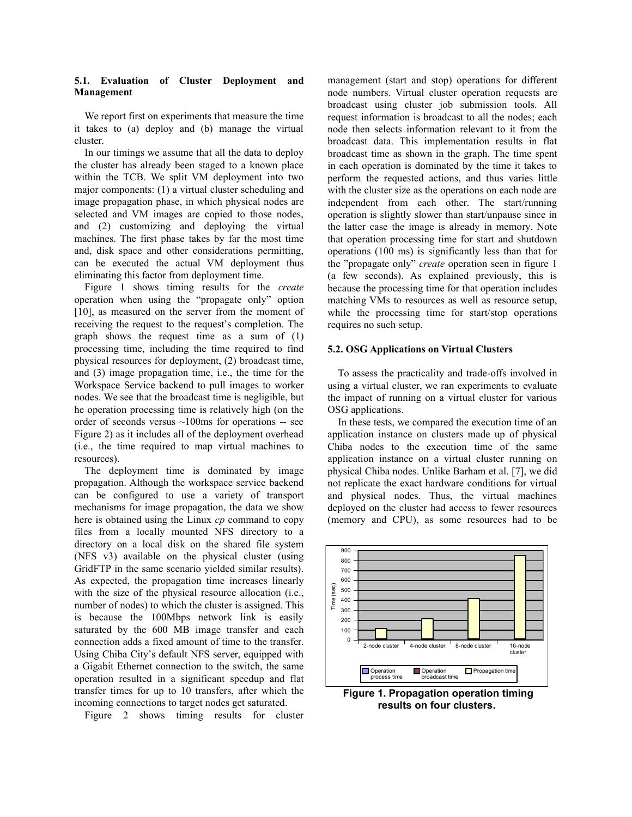#### **5.1. Evaluation of Cluster Deployment and Management**

We report first on experiments that measure the time it takes to (a) deploy and (b) manage the virtual cluster.

In our timings we assume that all the data to deploy the cluster has already been staged to a known place within the TCB. We split VM deployment into two major components: (1) a virtual cluster scheduling and image propagation phase, in which physical nodes are selected and VM images are copied to those nodes, and (2) customizing and deploying the virtual machines. The first phase takes by far the most time and, disk space and other considerations permitting, can be executed the actual VM deployment thus eliminating this factor from deployment time.

Figure 1 shows timing results for the *create* operation when using the "propagate only" option [10], as measured on the server from the moment of receiving the request to the request's completion. The graph shows the request time as a sum of (1) processing time, including the time required to find physical resources for deployment, (2) broadcast time, and (3) image propagation time, i.e., the time for the Workspace Service backend to pull images to worker nodes. We see that the broadcast time is negligible, but he operation processing time is relatively high (on the order of seconds versus ~100ms for operations -- see Figure 2) as it includes all of the deployment overhead (i.e., the time required to map virtual machines to resources).

The deployment time is dominated by image propagation. Although the workspace service backend can be configured to use a variety of transport mechanisms for image propagation, the data we show here is obtained using the Linux *cp* command to copy files from a locally mounted NFS directory to a directory on a local disk on the shared file system (NFS v3) available on the physical cluster (using GridFTP in the same scenario yielded similar results). As expected, the propagation time increases linearly with the size of the physical resource allocation (i.e., number of nodes) to which the cluster is assigned. This is because the 100Mbps network link is easily saturated by the 600 MB image transfer and each connection adds a fixed amount of time to the transfer. Using Chiba City's default NFS server, equipped with a Gigabit Ethernet connection to the switch, the same operation resulted in a significant speedup and flat transfer times for up to 10 transfers, after which the incoming connections to target nodes get saturated.

Figure 2 shows timing results for cluster

management (start and stop) operations for different node numbers. Virtual cluster operation requests are broadcast using cluster job submission tools. All request information is broadcast to all the nodes; each node then selects information relevant to it from the broadcast data. This implementation results in flat broadcast time as shown in the graph. The time spent in each operation is dominated by the time it takes to perform the requested actions, and thus varies little with the cluster size as the operations on each node are independent from each other. The start/running operation is slightly slower than start/unpause since in the latter case the image is already in memory. Note that operation processing time for start and shutdown operations (100 ms) is significantly less than that for the "propagate only" *create* operation seen in figure 1 (a few seconds). As explained previously, this is because the processing time for that operation includes matching VMs to resources as well as resource setup, while the processing time for start/stop operations requires no such setup.

#### **5.2. OSG Applications on Virtual Clusters**

To assess the practicality and trade-offs involved in using a virtual cluster, we ran experiments to evaluate the impact of running on a virtual cluster for various OSG applications.

In these tests, we compared the execution time of an application instance on clusters made up of physical Chiba nodes to the execution time of the same application instance on a virtual cluster running on physical Chiba nodes. Unlike Barham et al. [7], we did not replicate the exact hardware conditions for virtual and physical nodes. Thus, the virtual machines deployed on the cluster had access to fewer resources (memory and CPU), as some resources had to be



**Figure 1. Propagation operation timing results on four clusters.**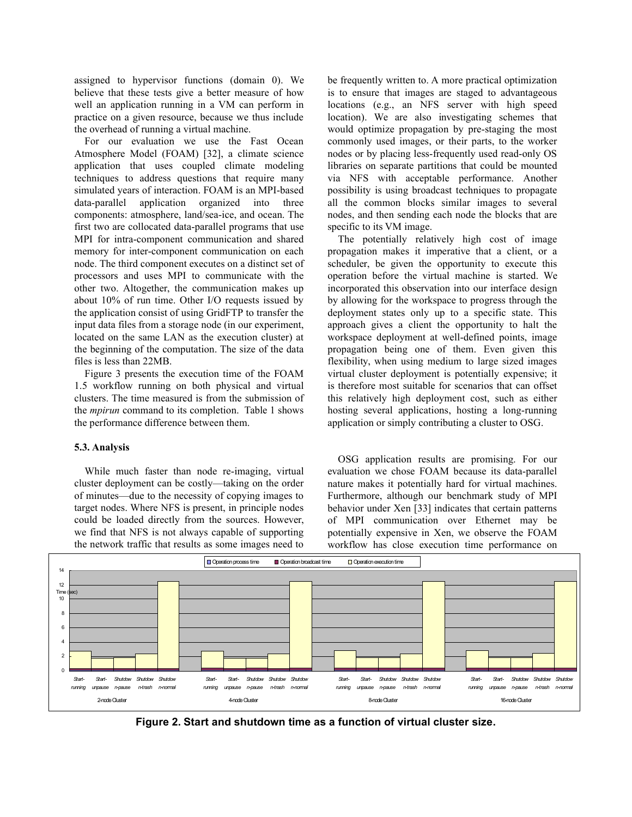assigned to hypervisor functions (domain 0). We believe that these tests give a better measure of how well an application running in a VM can perform in practice on a given resource, because we thus include the overhead of running a virtual machine.

For our evaluation we use the Fast Ocean Atmosphere Model (FOAM) [32], a climate science application that uses coupled climate modeling techniques to address questions that require many simulated years of interaction. FOAM is an MPI-based data-parallel application organized into three components: atmosphere, land/sea-ice, and ocean. The first two are collocated data-parallel programs that use MPI for intra-component communication and shared memory for inter-component communication on each node. The third component executes on a distinct set of processors and uses MPI to communicate with the other two. Altogether, the communication makes up about 10% of run time. Other I/O requests issued by the application consist of using GridFTP to transfer the input data files from a storage node (in our experiment, located on the same LAN as the execution cluster) at the beginning of the computation. The size of the data files is less than 22MB.

Figure 3 presents the execution time of the FOAM 1.5 workflow running on both physical and virtual clusters. The time measured is from the submission of the *mpirun* command to its completion. Table 1 shows the performance difference between them.

## **5.3. Analysis**

While much faster than node re-imaging, virtual cluster deployment can be costly—taking on the order of minutes—due to the necessity of copying images to target nodes. Where NFS is present, in principle nodes could be loaded directly from the sources. However, we find that NFS is not always capable of supporting the network traffic that results as some images need to

be frequently written to. A more practical optimization is to ensure that images are staged to advantageous locations (e.g., an NFS server with high speed location). We are also investigating schemes that would optimize propagation by pre-staging the most commonly used images, or their parts, to the worker nodes or by placing less-frequently used read-only OS libraries on separate partitions that could be mounted via NFS with acceptable performance. Another possibility is using broadcast techniques to propagate all the common blocks similar images to several nodes, and then sending each node the blocks that are specific to its VM image.

The potentially relatively high cost of image propagation makes it imperative that a client, or a scheduler, be given the opportunity to execute this operation before the virtual machine is started. We incorporated this observation into our interface design by allowing for the workspace to progress through the deployment states only up to a specific state. This approach gives a client the opportunity to halt the workspace deployment at well-defined points, image propagation being one of them. Even given this flexibility, when using medium to large sized images virtual cluster deployment is potentially expensive; it is therefore most suitable for scenarios that can offset this relatively high deployment cost, such as either hosting several applications, hosting a long-running application or simply contributing a cluster to OSG.

OSG application results are promising. For our evaluation we chose FOAM because its data-parallel nature makes it potentially hard for virtual machines. Furthermore, although our benchmark study of MPI behavior under Xen [33] indicates that certain patterns of MPI communication over Ethernet may be potentially expensive in Xen, we observe the FOAM workflow has close execution time performance on



**Figure 2. Start and shutdown time as a function of virtual cluster size.**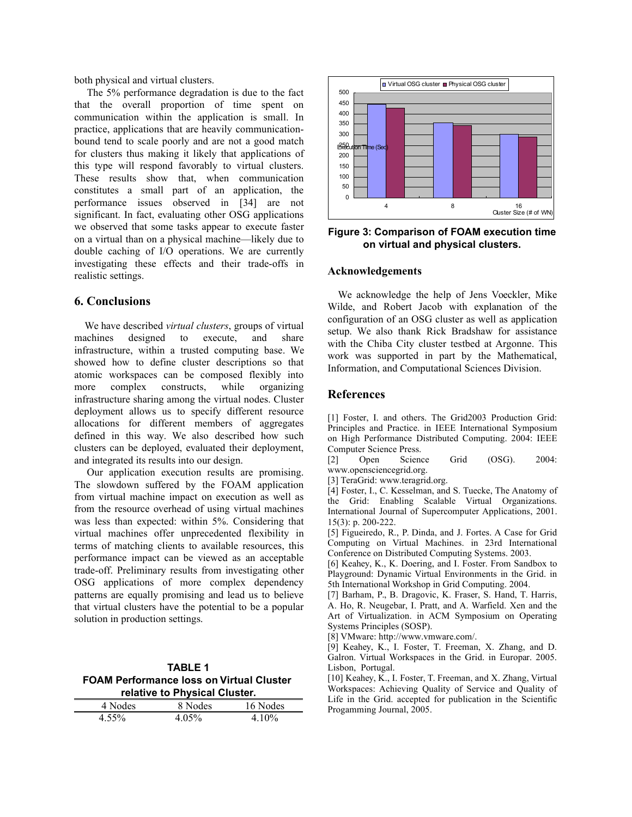both physical and virtual clusters.

The 5% performance degradation is due to the fact that the overall proportion of time spent on communication within the application is small. In practice, applications that are heavily communicationbound tend to scale poorly and are not a good match for clusters thus making it likely that applications of this type will respond favorably to virtual clusters. These results show that, when communication constitutes a small part of an application, the performance issues observed in [34] are not significant. In fact, evaluating other OSG applications we observed that some tasks appear to execute faster on a virtual than on a physical machine—likely due to double caching of I/O operations. We are currently investigating these effects and their trade-offs in realistic settings.

## **6. Conclusions**

We have described *virtual clusters*, groups of virtual machines designed to execute, and share infrastructure, within a trusted computing base. We showed how to define cluster descriptions so that atomic workspaces can be composed flexibly into more complex constructs, while organizing infrastructure sharing among the virtual nodes. Cluster deployment allows us to specify different resource allocations for different members of aggregates defined in this way. We also described how such clusters can be deployed, evaluated their deployment, and integrated its results into our design.

Our application execution results are promising. The slowdown suffered by the FOAM application from virtual machine impact on execution as well as from the resource overhead of using virtual machines was less than expected: within 5%. Considering that virtual machines offer unprecedented flexibility in terms of matching clients to available resources, this performance impact can be viewed as an acceptable trade-off. Preliminary results from investigating other OSG applications of more complex dependency patterns are equally promising and lead us to believe that virtual clusters have the potential to be a popular solution in production settings.

**TABLE 1 FOAM Performance loss on Virtual Cluster relative to Physical Cluster.**

| 4 Nodes  | 8 Nodes | 16 Nodes |
|----------|---------|----------|
| $4.55\%$ | 4.05%   | 4 10%    |



**Figure 3: Comparison of FOAM execution time on virtual and physical clusters.**

## **Acknowledgements**

We acknowledge the help of Jens Voeckler, Mike Wilde, and Robert Jacob with explanation of the configuration of an OSG cluster as well as application setup. We also thank Rick Bradshaw for assistance with the Chiba City cluster testbed at Argonne. This work was supported in part by the Mathematical, Information, and Computational Sciences Division.

### **References**

[1] Foster, I. and others. The Grid2003 Production Grid: Principles and Practice. in IEEE International Symposium on High Performance Distributed Computing. 2004: IEEE Computer Science Press.

[2] Open Science Grid (OSG). 2004: www.opensciencegrid.org.

[3] TeraGrid: www.teragrid.org.

[4] Foster, I., C. Kesselman, and S. Tuecke, The Anatomy of the Grid: Enabling Scalable Virtual Organizations. International Journal of Supercomputer Applications, 2001. 15(3): p. 200-222.

[5] Figueiredo, R., P. Dinda, and J. Fortes. A Case for Grid Computing on Virtual Machines. in 23rd International Conference on Distributed Computing Systems. 2003.

[6] Keahey, K., K. Doering, and I. Foster. From Sandbox to Playground: Dynamic Virtual Environments in the Grid. in 5th International Workshop in Grid Computing. 2004.

[7] Barham, P., B. Dragovic, K. Fraser, S. Hand, T. Harris, A. Ho, R. Neugebar, I. Pratt, and A. Warfield. Xen and the Art of Virtualization. in ACM Symposium on Operating Systems Principles (SOSP).

[8] VMware: http://www.vmware.com/.

[9] Keahey, K., I. Foster, T. Freeman, X. Zhang, and D. Galron. Virtual Workspaces in the Grid. in Europar. 2005. Lisbon, Portugal.

[10] Keahey, K., I. Foster, T. Freeman, and X. Zhang, Virtual Workspaces: Achieving Quality of Service and Quality of Life in the Grid. accepted for publication in the Scientific Progamming Journal, 2005.